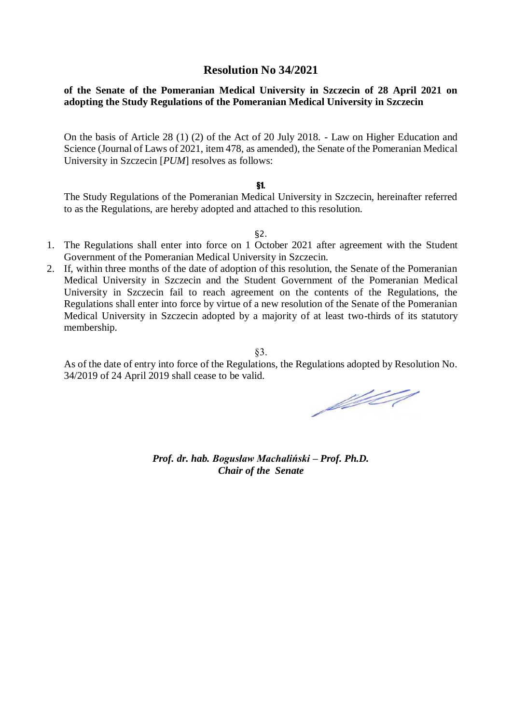# **Resolution No 34/2021**

# **of the Senate of the Pomeranian Medical University in Szczecin of 28 April 2021 on adopting the Study Regulations of the Pomeranian Medical University in Szczecin**

On the basis of Article 28 (1) (2) of the Act of 20 July 2018. - Law on Higher Education and Science (Journal of Laws of 2021, item 478, as amended), the Senate of the Pomeranian Medical University in Szczecin [*PUM*] resolves as follows:

#### §1.

The Study Regulations of the Pomeranian Medical University in Szczecin, hereinafter referred to as the Regulations, are hereby adopted and attached to this resolution.

§2.

- 1. The Regulations shall enter into force on 1 October 2021 after agreement with the Student Government of the Pomeranian Medical University in Szczecin.
- 2. If, within three months of the date of adoption of this resolution, the Senate of the Pomeranian Medical University in Szczecin and the Student Government of the Pomeranian Medical University in Szczecin fail to reach agreement on the contents of the Regulations, the Regulations shall enter into force by virtue of a new resolution of the Senate of the Pomeranian Medical University in Szczecin adopted by a majority of at least two-thirds of its statutory membership.

§3.

As of the date of entry into force of the Regulations, the Regulations adopted by Resolution No. 34/2019 of 24 April 2019 shall cease to be valid.

fifted

*Prof. dr. hab. Bogusław Machaliński – Prof. Ph.D. Chair of the Senate*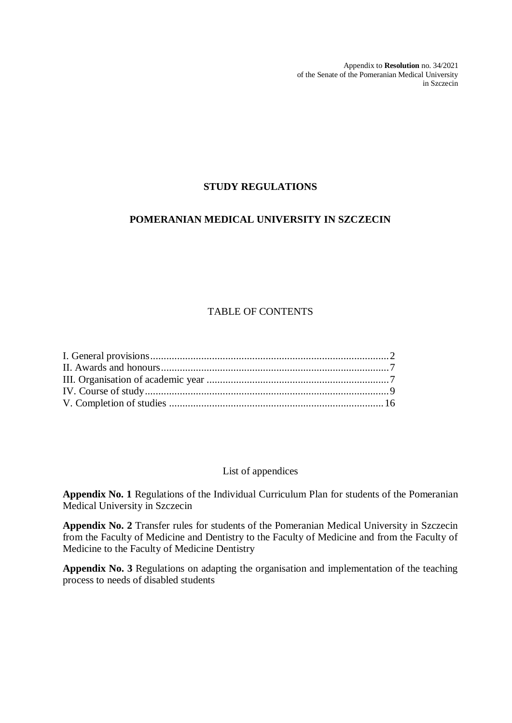Appendix to **Resolution** no. 34/2021 of the Senate of the Pomeranian Medical University in Szczecin

# **STUDY REGULATIONS**

# **POMERANIAN MEDICAL UNIVERSITY IN SZCZECIN**

# TABLE OF CONTENTS

### List of appendices

**Appendix No. 1** Regulations of the Individual Curriculum Plan for students of the Pomeranian Medical University in Szczecin

 **Appendix No. 2** Transfer rules for students of the Pomeranian Medical University in Szczecin from the Faculty of Medicine and Dentistry to the Faculty of Medicine and from the Faculty of Medicine to the Faculty of Medicine Dentistry

 **Appendix No. 3** Regulations on adapting the organisation and implementation of the teaching process to needs of disabled students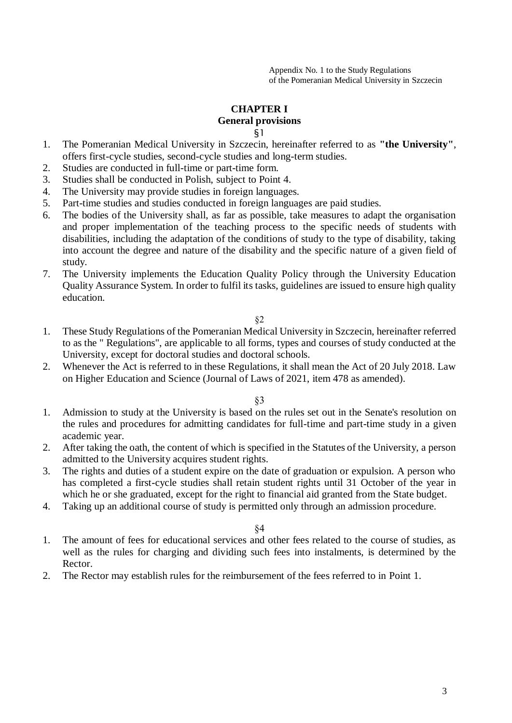# **CHAPTER I**

# **General provisions**

§1

- 1. The Pomeranian Medical University in Szczecin, hereinafter referred to as **"the University"**, offers first-cycle studies, second-cycle studies and long-term studies.
- 2. Studies are conducted in full-time or part-time form.
- 3. Studies shall be conducted in Polish, subject to Point 4.
- 4. The University may provide studies in foreign languages.
- 5. Part-time studies and studies conducted in foreign languages are paid studies.
- 6. The bodies of the University shall, as far as possible, take measures to adapt the organisation and proper implementation of the teaching process to the specific needs of students with disabilities, including the adaptation of the conditions of study to the type of disability, taking into account the degree and nature of the disability and the specific nature of a given field of study.
- 7. The University implements the Education Quality Policy through the University Education Quality Assurance System. In order to fulfil its tasks, guidelines are issued to ensure high quality education.

§2

- 1. These Study Regulations of the Pomeranian Medical University in Szczecin, hereinafter referred to as the " Regulations", are applicable to all forms, types and courses of study conducted at the University, except for doctoral studies and doctoral schools.
- 2. Whenever the Act is referred to in these Regulations, it shall mean the Act of 20 July 2018. Law on Higher Education and Science (Journal of Laws of 2021, item 478 as amended).

§3

- 1. Admission to study at the University is based on the rules set out in the Senate's resolution on the rules and procedures for admitting candidates for full-time and part-time study in a given academic year.
- 2. After taking the oath, the content of which is specified in the Statutes of the University, a person admitted to the University acquires student rights.
- 3. The rights and duties of a student expire on the date of graduation or expulsion. A person who has completed a first-cycle studies shall retain student rights until 31 October of the year in which he or she graduated, except for the right to financial aid granted from the State budget.
- 4. Taking up an additional course of study is permitted only through an admission procedure.

- 1. The amount of fees for educational services and other fees related to the course of studies, as well as the rules for charging and dividing such fees into instalments, is determined by the Rector.
- 2. The Rector may establish rules for the reimbursement of the fees referred to in Point 1.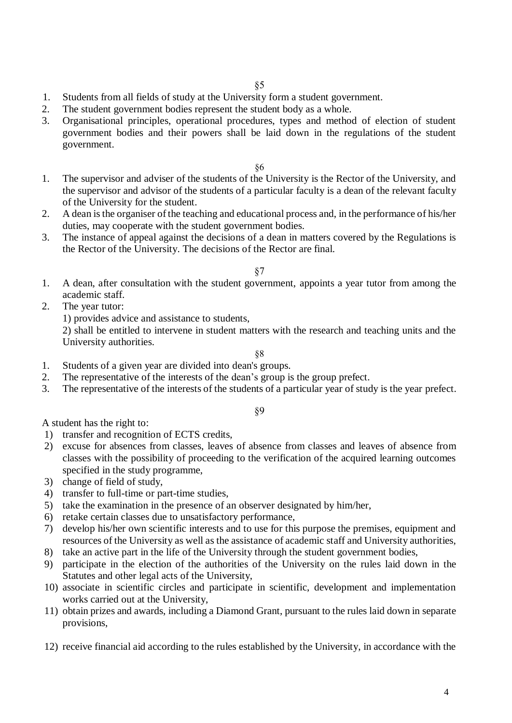- 1. Students from all fields of study at the University form a student government.
- 2. The student government bodies represent the student body as a whole.
- 3. Organisational principles, operational procedures, types and method of election of student government bodies and their powers shall be laid down in the regulations of the student government.

- 1. The supervisor and adviser of the students of the University is the Rector of the University, and the supervisor and advisor of the students of a particular faculty is a dean of the relevant faculty of the University for the student.
- 2. A dean is the organiser of the teaching and educational process and, in the performance of his/her duties, may cooperate with the student government bodies.
- 3. The instance of appeal against the decisions of a dean in matters covered by the Regulations is the Rector of the University. The decisions of the Rector are final.

### §7

- 1. A dean, after consultation with the student government, appoints a year tutor from among the academic staff.
- 2. The year tutor:

1) provides advice and assistance to students,

2) shall be entitled to intervene in student matters with the research and teaching units and the University authorities.

§8

- 1. Students of a given year are divided into dean's groups.
- 2. The representative of the interests of the dean's group is the group prefect.
- 3. The representative of the interests of the students of a particular year of study is the year prefect.

§9

A student has the right to:

- 1) transfer and recognition of ECTS credits,
- 2) excuse for absences from classes, leaves of absence from classes and leaves of absence from classes with the possibility of proceeding to the verification of the acquired learning outcomes specified in the study programme,
- 3) change of field of study,
- 4) transfer to full-time or part-time studies,
- 5) take the examination in the presence of an observer designated by him/her,
- 6) retake certain classes due to unsatisfactory performance,
- 7) develop his/her own scientific interests and to use for this purpose the premises, equipment and resources of the University as well as the assistance of academic staff and University authorities,
- 8) take an active part in the life of the University through the student government bodies,
- 9) participate in the election of the authorities of the University on the rules laid down in the Statutes and other legal acts of the University,
- 10) associate in scientific circles and participate in scientific, development and implementation works carried out at the University,
- 11) obtain prizes and awards, including a Diamond Grant, pursuant to the rules laid down in separate provisions,
- 12) receive financial aid according to the rules established by the University, in accordance with the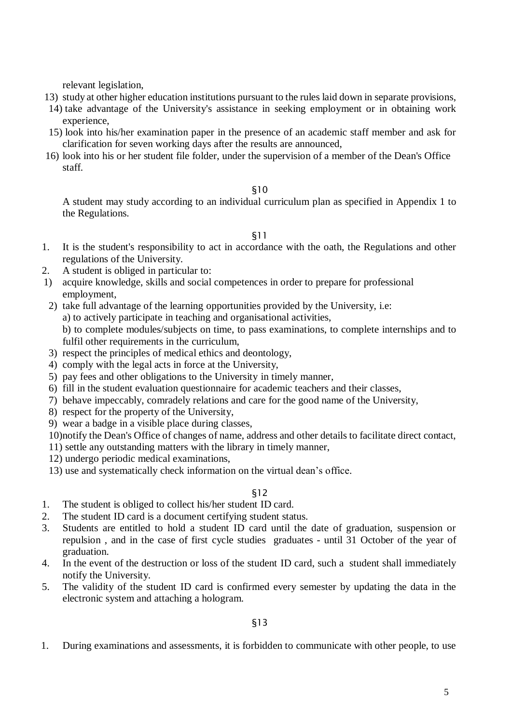relevant legislation,

- 13) study at other higher education institutions pursuant to the rules laid down in separate provisions,
- 14) take advantage of the University's assistance in seeking employment or in obtaining work experience,
- 15) look into his/her examination paper in the presence of an academic staff member and ask for clarification for seven working days after the results are announced,
- 16) look into his or her student file folder, under the supervision of a member of the Dean's Office staff.

### §10

A student may study according to an individual curriculum plan as specified in Appendix 1 to the Regulations.

§11

- 1. It is the student's responsibility to act in accordance with the oath, the Regulations and other regulations of the University.
- 2. A student is obliged in particular to:
- 1) acquire knowledge, skills and social competences in order to prepare for professional employment,
- 2) take full advantage of the learning opportunities provided by the University, i.e:
	- a) to actively participate in teaching and organisational activities,
		- b) to complete modules/subjects on time, to pass examinations, to complete internships and to fulfil other requirements in the curriculum,
- 3) respect the principles of medical ethics and deontology,
- 4) comply with the legal acts in force at the University,
- 5) pay fees and other obligations to the University in timely manner,
- 6) fill in the student evaluation questionnaire for academic teachers and their classes,
- 7) behave impeccably, comradely relations and care for the good name of the University,
- 8) respect for the property of the University,
- 9) wear a badge in a visible place during classes,
- 10)notify the Dean's Office of changes of name, address and other details to facilitate direct contact,
- 11) settle any outstanding matters with the library in timely manner,
- 12) undergo periodic medical examinations,
- 13) use and systematically check information on the virtual dean's office.

### §12

- 1. The student is obliged to collect his/her student ID card.
- 2. The student ID card is a document certifying student status.
- 3. Students are entitled to hold a student ID card until the date of graduation, suspension or repulsion , and in the case of first cycle studies graduates - until 31 October of the year of graduation.
- 4. In the event of the destruction or loss of the student ID card, such a student shall immediately notify the University.
- 5. The validity of the student ID card is confirmed every semester by updating the data in the electronic system and attaching a hologram.

§13

1. During examinations and assessments, it is forbidden to communicate with other people, to use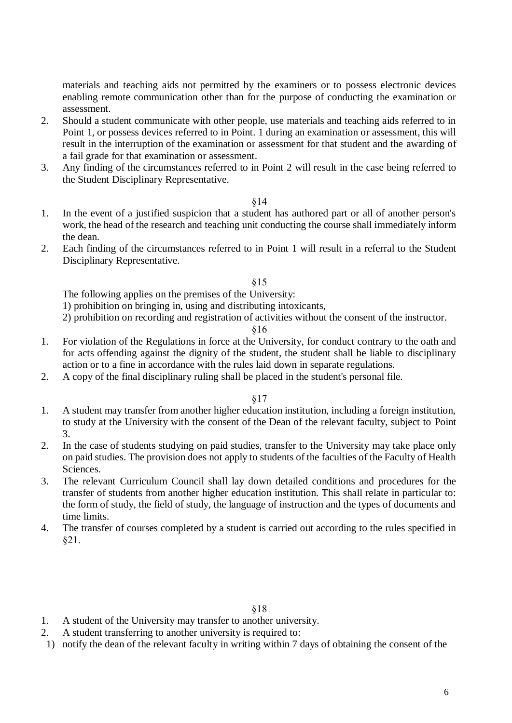materials and teaching aids not permitted by the examiners or to possess electronic devices enabling remote communication other than for the purpose of conducting the examination or assessment.

- 2. Should a student communicate with other people, use materials and teaching aids referred to in Point 1, or possess devices referred to in Point. 1 during an examination or assessment, this will result in the interruption of the examination or assessment for that student and the awarding of a fail grade for that examination or assessment.
- 3. Any finding of the circumstances referred to in Point 2 will result in the case being referred to the Student Disciplinary Representative.

### §14

- 1. In the event of a justified suspicion that a student has authored part or all of another person's work, the head of the research and teaching unit conducting the course shall immediately inform the dean.
- 2. Each finding of the circumstances referred to in Point 1 will result in a referral to the Student Disciplinary Representative.

### §15

The following applies on the premises of the University:

1) prohibition on bringing in, using and distributing intoxicants,

2) prohibition on recording and registration of activities without the consent of the instructor.

### §16

- 1. For violation of the Regulations in force at the University, for conduct contrary to the oath and for acts offending against the dignity of the student, the student shall be liable to disciplinary action or to a fine in accordance with the rules laid down in separate regulations.
- 2. A copy of the final disciplinary ruling shall be placed in the student's personal file.

### §17

- 1. A student may transfer from another higher education institution, including a foreign institution, to study at the University with the consent of the Dean of the relevant faculty, subject to Point 3.
- 2. In the case of students studying on paid studies, transfer to the University may take place only on paid studies. The provision does not apply to students of the faculties of the Faculty of Health Sciences.
- 3. The relevant Curriculum Council shall lay down detailed conditions and procedures for the transfer of students from another higher education institution. This shall relate in particular to: the form of study, the field of study, the language of instruction and the types of documents and time limits.
- 4. The transfer of courses completed by a student is carried out according to the rules specified in §21.

- 1. A student of the University may transfer to another university.
- 2. A student transferring to another university is required to:
- 1) notify the dean of the relevant faculty in writing within 7 days of obtaining the consent of the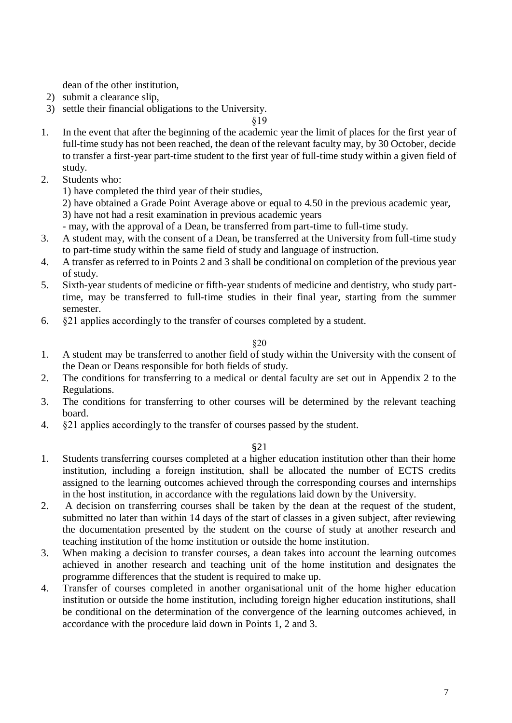dean of the other institution,

- 2) submit a clearance slip,
- 3) settle their financial obligations to the University.

§19

- 1. In the event that after the beginning of the academic year the limit of places for the first year of full-time study has not been reached, the dean of the relevant faculty may, by 30 October, decide to transfer a first-year part-time student to the first year of full-time study within a given field of study.
- 2. Students who:
	- 1) have completed the third year of their studies,

2) have obtained a Grade Point Average above or equal to 4.50 in the previous academic year, 3) have not had a resit examination in previous academic years

- may, with the approval of a Dean, be transferred from part-time to full-time study.
- 3. A student may, with the consent of a Dean, be transferred at the University from full-time study to part-time study within the same field of study and language of instruction.
- 4. A transfer as referred to in Points 2 and 3 shall be conditional on completion of the previous year of study.
- 5. Sixth-year students of medicine or fifth-year students of medicine and dentistry, who study parttime, may be transferred to full-time studies in their final year, starting from the summer semester.
- 6. §21 applies accordingly to the transfer of courses completed by a student.

### §20

- 1. A student may be transferred to another field of study within the University with the consent of the Dean or Deans responsible for both fields of study.
- 2. The conditions for transferring to a medical or dental faculty are set out in Appendix 2 to the Regulations.
- 3. The conditions for transferring to other courses will be determined by the relevant teaching board.
- 4. §21 applies accordingly to the transfer of courses passed by the student.

- 1. Students transferring courses completed at a higher education institution other than their home institution, including a foreign institution, shall be allocated the number of ECTS credits assigned to the learning outcomes achieved through the corresponding courses and internships in the host institution, in accordance with the regulations laid down by the University.
- 2. A decision on transferring courses shall be taken by the dean at the request of the student, submitted no later than within 14 days of the start of classes in a given subject, after reviewing the documentation presented by the student on the course of study at another research and teaching institution of the home institution or outside the home institution.
- 3. When making a decision to transfer courses, a dean takes into account the learning outcomes achieved in another research and teaching unit of the home institution and designates the programme differences that the student is required to make up.
- 4. Transfer of courses completed in another organisational unit of the home higher education institution or outside the home institution, including foreign higher education institutions, shall be conditional on the determination of the convergence of the learning outcomes achieved, in accordance with the procedure laid down in Points 1, 2 and 3.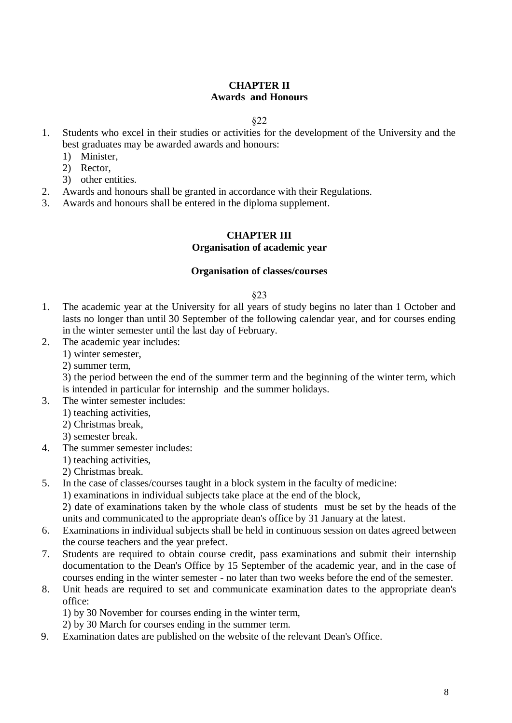# **CHAPTER II Awards and Honours**

### §22

- 1. Students who excel in their studies or activities for the development of the University and the best graduates may be awarded awards and honours:
	- 1) Minister,
	- 2) Rector,
	- 3) other entities.
- 2. Awards and honours shall be granted in accordance with their Regulations.
- 3. Awards and honours shall be entered in the diploma supplement.

# **CHAPTER III**

### **Organisation of academic year**

### **Organisation of classes/courses**

### §23

- 1. The academic year at the University for all years of study begins no later than 1 October and lasts no longer than until 30 September of the following calendar year, and for courses ending in the winter semester until the last day of February.
- 2. The academic year includes:
	- 1) winter semester,
	- 2) summer term,

3) the period between the end of the summer term and the beginning of the winter term, which is intended in particular for internship and the summer holidays.

- 3. The winter semester includes:
	- 1) teaching activities,
	- 2) Christmas break,
	- 3) semester break.
- 4. The summer semester includes:
	- 1) teaching activities,
	- 2) Christmas break.
- 5. In the case of classes/courses taught in a block system in the faculty of medicine:
	- 1) examinations in individual subjects take place at the end of the block,

2) date of examinations taken by the whole class of students must be set by the heads of the units and communicated to the appropriate dean's office by 31 January at the latest.

- 6. Examinations in individual subjects shall be held in continuous session on dates agreed between the course teachers and the year prefect.
- 7. Students are required to obtain course credit, pass examinations and submit their internship documentation to the Dean's Office by 15 September of the academic year, and in the case of courses ending in the winter semester - no later than two weeks before the end of the semester.
- 8. Unit heads are required to set and communicate examination dates to the appropriate dean's office:

1) by 30 November for courses ending in the winter term,

2) by 30 March for courses ending in the summer term.

9. Examination dates are published on the website of the relevant Dean's Office.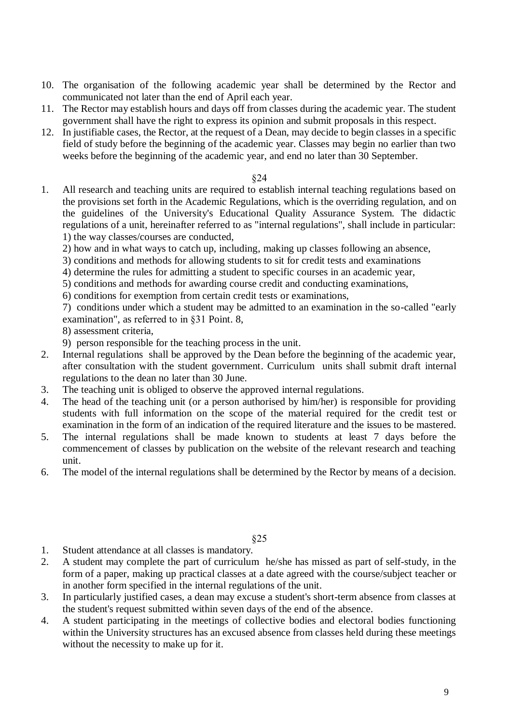- 10. The organisation of the following academic year shall be determined by the Rector and communicated not later than the end of April each year.
- 11. The Rector may establish hours and days off from classes during the academic year. The student government shall have the right to express its opinion and submit proposals in this respect.
- 12. In justifiable cases, the Rector, at the request of a Dean, may decide to begin classes in a specific field of study before the beginning of the academic year. Classes may begin no earlier than two weeks before the beginning of the academic year, and end no later than 30 September.

1. All research and teaching units are required to establish internal teaching regulations based on the provisions set forth in the Academic Regulations, which is the overriding regulation, and on the guidelines of the University's Educational Quality Assurance System. The didactic regulations of a unit, hereinafter referred to as "internal regulations", shall include in particular: 1) the way classes/courses are conducted,

2) how and in what ways to catch up, including, making up classes following an absence,

- 3) conditions and methods for allowing students to sit for credit tests and examinations
- 4) determine the rules for admitting a student to specific courses in an academic year,
- 5) conditions and methods for awarding course credit and conducting examinations,
- 6) conditions for exemption from certain credit tests or examinations,

7) conditions under which a student may be admitted to an examination in the so-called "early examination", as referred to in §31 Point. 8,

- 8) assessment criteria,
- 9) person responsible for the teaching process in the unit.
- 2. Internal regulations shall be approved by the Dean before the beginning of the academic year, after consultation with the student government. Curriculum units shall submit draft internal regulations to the dean no later than 30 June.
- 3. The teaching unit is obliged to observe the approved internal regulations.
- 4. The head of the teaching unit (or a person authorised by him/her) is responsible for providing students with full information on the scope of the material required for the credit test or examination in the form of an indication of the required literature and the issues to be mastered.
- 5. The internal regulations shall be made known to students at least 7 days before the commencement of classes by publication on the website of the relevant research and teaching unit.
- 6. The model of the internal regulations shall be determined by the Rector by means of a decision.

- 1. Student attendance at all classes is mandatory.
- 2. A student may complete the part of curriculum he/she has missed as part of self-study, in the form of a paper, making up practical classes at a date agreed with the course/subject teacher or in another form specified in the internal regulations of the unit.
- 3. In particularly justified cases, a dean may excuse a student's short-term absence from classes at the student's request submitted within seven days of the end of the absence.
- 4. A student participating in the meetings of collective bodies and electoral bodies functioning within the University structures has an excused absence from classes held during these meetings without the necessity to make up for it.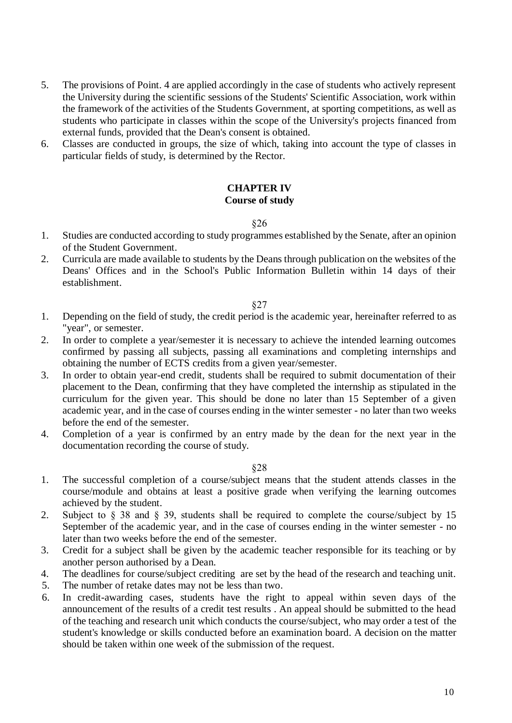- 5. The provisions of Point. 4 are applied accordingly in the case of students who actively represent the University during the scientific sessions of the Students' Scientific Association, work within the framework of the activities of the Students Government, at sporting competitions, as well as students who participate in classes within the scope of the University's projects financed from external funds, provided that the Dean's consent is obtained.
- 6. Classes are conducted in groups, the size of which, taking into account the type of classes in particular fields of study, is determined by the Rector.

### **CHAPTER IV Course of study**

### §26

- 1. Studies are conducted according to study programmes established by the Senate, after an opinion of the Student Government.
- 2. Curricula are made available to students by the Deans through publication on the websites of the Deans' Offices and in the School's Public Information Bulletin within 14 days of their establishment.

### §27

- 1. Depending on the field of study, the credit period is the academic year, hereinafter referred to as "year", or semester.
- 2. In order to complete a year/semester it is necessary to achieve the intended learning outcomes confirmed by passing all subjects, passing all examinations and completing internships and obtaining the number of ECTS credits from a given year/semester.
- 3. In order to obtain year-end credit, students shall be required to submit documentation of their placement to the Dean, confirming that they have completed the internship as stipulated in the curriculum for the given year. This should be done no later than 15 September of a given academic year, and in the case of courses ending in the winter semester - no later than two weeks before the end of the semester.
- 4. Completion of a year is confirmed by an entry made by the dean for the next year in the documentation recording the course of study.

- 1. The successful completion of a course/subject means that the student attends classes in the course/module and obtains at least a positive grade when verifying the learning outcomes achieved by the student.
- 2. Subject to § 38 and § 39, students shall be required to complete the course/subject by 15 September of the academic year, and in the case of courses ending in the winter semester - no later than two weeks before the end of the semester.
- 3. Credit for a subject shall be given by the academic teacher responsible for its teaching or by another person authorised by a Dean.
- 4. The deadlines for course/subject crediting are set by the head of the research and teaching unit.
- 5. The number of retake dates may not be less than two.
- 6. In credit-awarding cases, students have the right to appeal within seven days of the announcement of the results of a credit test results . An appeal should be submitted to the head of the teaching and research unit which conducts the course/subject, who may order a test of the student's knowledge or skills conducted before an examination board. A decision on the matter should be taken within one week of the submission of the request.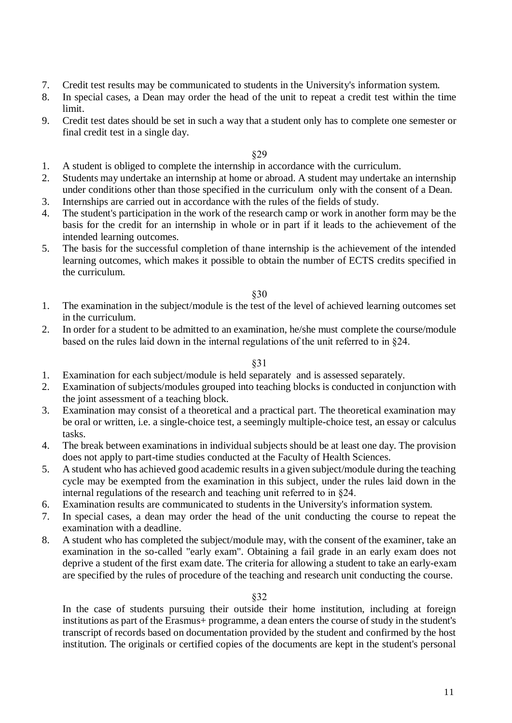- 7. Credit test results may be communicated to students in the University's information system.
- 8. In special cases, a Dean may order the head of the unit to repeat a credit test within the time limit.
- 9. Credit test dates should be set in such a way that a student only has to complete one semester or final credit test in a single day.

- 1. A student is obliged to complete the internship in accordance with the curriculum.
- 2. Students may undertake an internship at home or abroad. A student may undertake an internship under conditions other than those specified in the curriculum only with the consent of a Dean.
- 3. Internships are carried out in accordance with the rules of the fields of study.
- 4. The student's participation in the work of the research camp or work in another form may be the basis for the credit for an internship in whole or in part if it leads to the achievement of the intended learning outcomes.
- 5. The basis for the successful completion of thane internship is the achievement of the intended learning outcomes, which makes it possible to obtain the number of ECTS credits specified in the curriculum.

### §30

- 1. The examination in the subject/module is the test of the level of achieved learning outcomes set in the curriculum.
- 2. In order for a student to be admitted to an examination, he/she must complete the course/module based on the rules laid down in the internal regulations of the unit referred to in §24.

### §31

- 1. Examination for each subject/module is held separately and is assessed separately.
- 2. Examination of subjects/modules grouped into teaching blocks is conducted in conjunction with the joint assessment of a teaching block.
- 3. Examination may consist of a theoretical and a practical part. The theoretical examination may be oral or written, i.e. a single-choice test, a seemingly multiple-choice test, an essay or calculus tasks.
- 4. The break between examinations in individual subjects should be at least one day. The provision does not apply to part-time studies conducted at the Faculty of Health Sciences.
- 5. A student who has achieved good academic results in a given subject/module during the teaching cycle may be exempted from the examination in this subject, under the rules laid down in the internal regulations of the research and teaching unit referred to in §24.
- 6. Examination results are communicated to students in the University's information system.
- 7. In special cases, a dean may order the head of the unit conducting the course to repeat the examination with a deadline.
- 8. A student who has completed the subject/module may, with the consent of the examiner, take an examination in the so-called "early exam". Obtaining a fail grade in an early exam does not deprive a student of the first exam date. The criteria for allowing a student to take an early-exam are specified by the rules of procedure of the teaching and research unit conducting the course.

### §32

In the case of students pursuing their outside their home institution, including at foreign institutions as part of the Erasmus+ programme, a dean enters the course of study in the student's transcript of records based on documentation provided by the student and confirmed by the host institution. The originals or certified copies of the documents are kept in the student's personal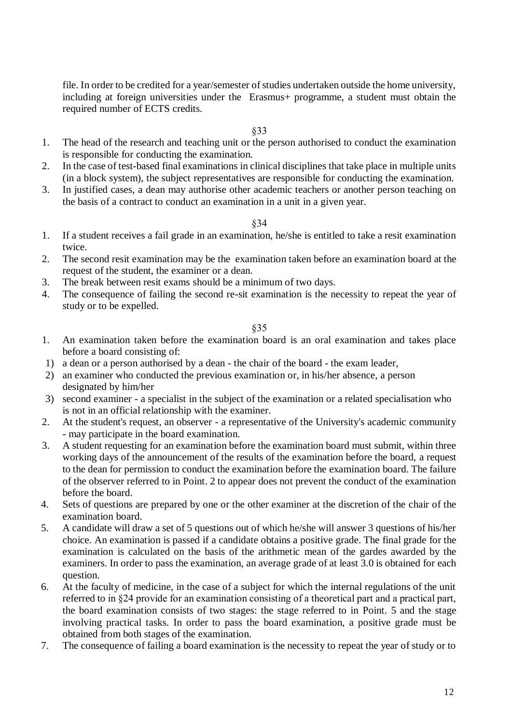file. In order to be credited for a year/semester of studies undertaken outside the home university, including at foreign universities under the Erasmus+ programme, a student must obtain the required number of ECTS credits.

# §33

- 1. The head of the research and teaching unit or the person authorised to conduct the examination is responsible for conducting the examination.
- 2. In the case of test-based final examinations in clinical disciplines that take place in multiple units (in a block system), the subject representatives are responsible for conducting the examination.
- 3. In justified cases, a dean may authorise other academic teachers or another person teaching on the basis of a contract to conduct an examination in a unit in a given year.

#### §34

- 1. If a student receives a fail grade in an examination, he/she is entitled to take a resit examination twice.
- 2. The second resit examination may be the examination taken before an examination board at the request of the student, the examiner or a dean.
- 3. The break between resit exams should be a minimum of two days.
- 4. The consequence of failing the second re-sit examination is the necessity to repeat the year of study or to be expelled.

- 1. An examination taken before the examination board is an oral examination and takes place before a board consisting of:
- 1) a dean or a person authorised by a dean the chair of the board the exam leader,
- 2) an examiner who conducted the previous examination or, in his/her absence, a person designated by him/her
- 3) second examiner a specialist in the subject of the examination or a related specialisation who is not in an official relationship with the examiner.
- 2. At the student's request, an observer a representative of the University's academic community - may participate in the board examination.
- 3. A student requesting for an examination before the examination board must submit, within three working days of the announcement of the results of the examination before the board, a request to the dean for permission to conduct the examination before the examination board. The failure of the observer referred to in Point. 2 to appear does not prevent the conduct of the examination before the board.
- 4. Sets of questions are prepared by one or the other examiner at the discretion of the chair of the examination board.
- 5. A candidate will draw a set of 5 questions out of which he/she will answer 3 questions of his/her choice. An examination is passed if a candidate obtains a positive grade. The final grade for the examination is calculated on the basis of the arithmetic mean of the gardes awarded by the examiners. In order to pass the examination, an average grade of at least 3.0 is obtained for each question.
- 6. At the faculty of medicine, in the case of a subject for which the internal regulations of the unit referred to in §24 provide for an examination consisting of a theoretical part and a practical part, the board examination consists of two stages: the stage referred to in Point. 5 and the stage involving practical tasks. In order to pass the board examination, a positive grade must be obtained from both stages of the examination.
- 7. The consequence of failing a board examination is the necessity to repeat the year of study or to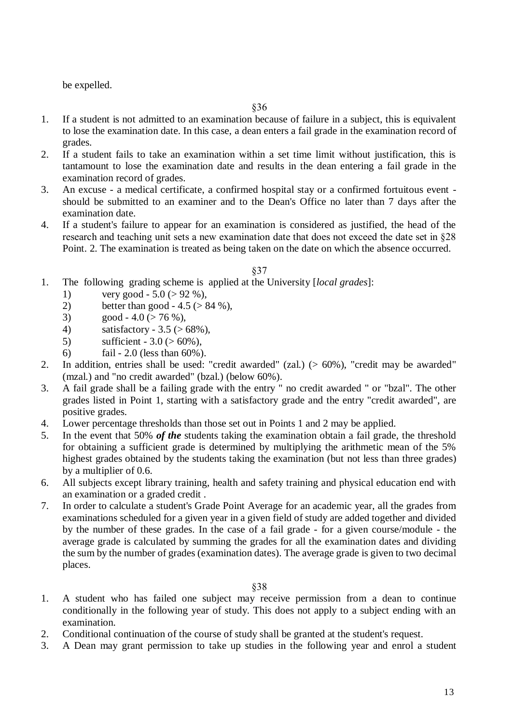be expelled.

- 1. If a student is not admitted to an examination because of failure in a subject, this is equivalent to lose the examination date. In this case, a dean enters a fail grade in the examination record of grades.
- 2. If a student fails to take an examination within a set time limit without justification, this is tantamount to lose the examination date and results in the dean entering a fail grade in the examination record of grades.
- 3. An excuse a medical certificate, a confirmed hospital stay or a confirmed fortuitous event should be submitted to an examiner and to the Dean's Office no later than 7 days after the examination date.
- 4. If a student's failure to appear for an examination is considered as justified, the head of the research and teaching unit sets a new examination date that does not exceed the date set in §28 Point. 2. The examination is treated as being taken on the date on which the absence occurred.

### §37

- 1. The following grading scheme is applied at the University [*local grades*]:
	- 1) very good  $5.0$  ( $> 92$  %),
	- 2) better than good  $4.5$  ( $> 84$  %),
	- 3) good 4.0 ( $>$  76 %),
	- 4) satisfactory  $3.5$  ( $> 68\%$ ),
	- 5) sufficient  $3.0$  ( $> 60\%$ ),
	- 6) fail 2.0 (less than 60%).
- 2. In addition, entries shall be used: "credit awarded" (zal.) (> 60%), "credit may be awarded" (mzal.) and "no credit awarded" (bzal.) (below 60%).
- 3. A fail grade shall be a failing grade with the entry " no credit awarded " or "bzal". The other grades listed in Point 1, starting with a satisfactory grade and the entry "credit awarded", are positive grades.
- 4. Lower percentage thresholds than those set out in Points 1 and 2 may be applied.
- 5. In the event that 50% *of the* students taking the examination obtain a fail grade, the threshold for obtaining a sufficient grade is determined by multiplying the arithmetic mean of the 5% highest grades obtained by the students taking the examination (but not less than three grades) by a multiplier of 0.6.
- 6. All subjects except library training, health and safety training and physical education end with an examination or a graded credit .
- 7. In order to calculate a student's Grade Point Average for an academic year, all the grades from examinations scheduled for a given year in a given field of study are added together and divided by the number of these grades. In the case of a fail grade - for a given course/module - the average grade is calculated by summing the grades for all the examination dates and dividing the sum by the number of grades (examination dates). The average grade is given to two decimal places.

- 1. A student who has failed one subject may receive permission from a dean to continue conditionally in the following year of study. This does not apply to a subject ending with an examination.
- 2. Conditional continuation of the course of study shall be granted at the student's request.
- 3. A Dean may grant permission to take up studies in the following year and enrol a student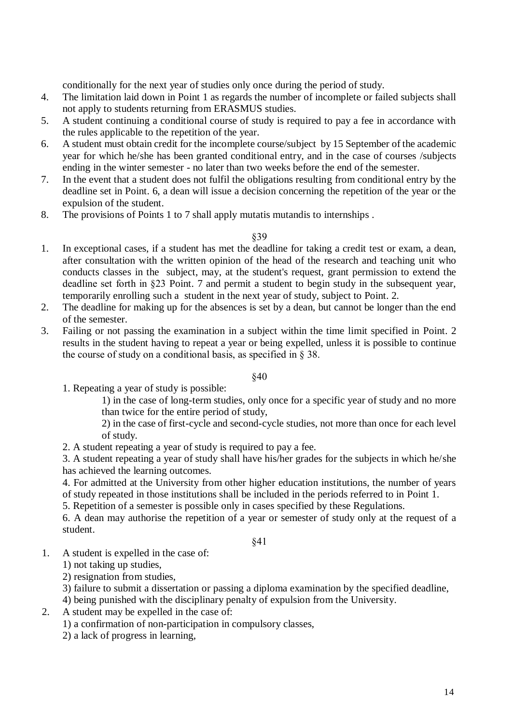conditionally for the next year of studies only once during the period of study.

- 4. The limitation laid down in Point 1 as regards the number of incomplete or failed subjects shall not apply to students returning from ERASMUS studies.
- 5. A student continuing a conditional course of study is required to pay a fee in accordance with the rules applicable to the repetition of the year.
- 6. A student must obtain credit for the incomplete course/subject by 15 September of the academic year for which he/she has been granted conditional entry, and in the case of courses /subjects ending in the winter semester - no later than two weeks before the end of the semester.
- 7. In the event that a student does not fulfil the obligations resulting from conditional entry by the deadline set in Point. 6, a dean will issue a decision concerning the repetition of the year or the expulsion of the student.
- 8. The provisions of Points 1 to 7 shall apply mutatis mutandis to internships .

### §39

- 1. In exceptional cases, if a student has met the deadline for taking a credit test or exam, a dean, after consultation with the written opinion of the head of the research and teaching unit who conducts classes in the subject, may, at the student's request, grant permission to extend the deadline set forth in §23 Point. 7 and permit a student to begin study in the subsequent year, temporarily enrolling such a student in the next year of study, subject to Point. 2.
- 2. The deadline for making up for the absences is set by a dean, but cannot be longer than the end of the semester.
- 3. Failing or not passing the examination in a subject within the time limit specified in Point. 2 results in the student having to repeat a year or being expelled, unless it is possible to continue the course of study on a conditional basis, as specified in § 38.

### §40

1. Repeating a year of study is possible:

1) in the case of long-term studies, only once for a specific year of study and no more than twice for the entire period of study,

2) in the case of first-cycle and second-cycle studies, not more than once for each level of study.

2. A student repeating a year of study is required to pay a fee.

3. A student repeating a year of study shall have his/her grades for the subjects in which he/she has achieved the learning outcomes.

4. For admitted at the University from other higher education institutions, the number of years of study repeated in those institutions shall be included in the periods referred to in Point 1.

5. Repetition of a semester is possible only in cases specified by these Regulations.

6. A dean may authorise the repetition of a year or semester of study only at the request of a student.

# §41

1. A student is expelled in the case of:

1) not taking up studies,

- 2) resignation from studies,
- 3) failure to submit a dissertation or passing a diploma examination by the specified deadline,

4) being punished with the disciplinary penalty of expulsion from the University.

2. A student may be expelled in the case of:

1) a confirmation of non-participation in compulsory classes,

2) a lack of progress in learning,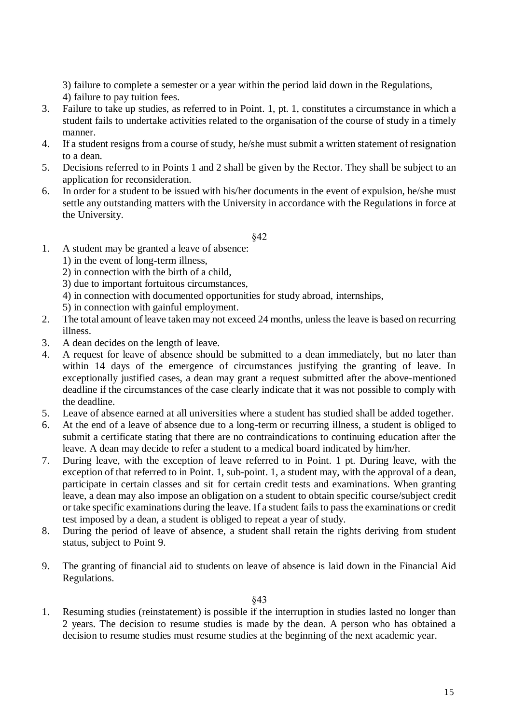3) failure to complete a semester or a year within the period laid down in the Regulations, 4) failure to pay tuition fees.

- 3. Failure to take up studies, as referred to in Point. 1, pt. 1, constitutes a circumstance in which a student fails to undertake activities related to the organisation of the course of study in a timely manner.
- 4. If a student resigns from a course of study, he/she must submit a written statement of resignation to a dean.
- 5. Decisions referred to in Points 1 and 2 shall be given by the Rector. They shall be subject to an application for reconsideration.
- 6. In order for a student to be issued with his/her documents in the event of expulsion, he/she must settle any outstanding matters with the University in accordance with the Regulations in force at the University.

§42

- 1. A student may be granted a leave of absence:
	- 1) in the event of long-term illness,
	- 2) in connection with the birth of a child,
	- 3) due to important fortuitous circumstances,
	- 4) in connection with documented opportunities for study abroad, internships,
	- 5) in connection with gainful employment.
- 2. The total amount of leave taken may not exceed 24 months, unless the leave is based on recurring illness.
- 3. A dean decides on the length of leave.
- 4. A request for leave of absence should be submitted to a dean immediately, but no later than within 14 days of the emergence of circumstances justifying the granting of leave. In exceptionally justified cases, a dean may grant a request submitted after the above-mentioned deadline if the circumstances of the case clearly indicate that it was not possible to comply with the deadline.
- 5. Leave of absence earned at all universities where a student has studied shall be added together.
- 6. At the end of a leave of absence due to a long-term or recurring illness, a student is obliged to submit a certificate stating that there are no contraindications to continuing education after the leave. A dean may decide to refer a student to a medical board indicated by him/her.
- 7. During leave, with the exception of leave referred to in Point. 1 pt. During leave, with the exception of that referred to in Point. 1, sub-point. 1, a student may, with the approval of a dean, participate in certain classes and sit for certain credit tests and examinations. When granting leave, a dean may also impose an obligation on a student to obtain specific course/subject credit or take specific examinations during the leave. If a student fails to pass the examinations or credit test imposed by a dean, a student is obliged to repeat a year of study.
- 8. During the period of leave of absence, a student shall retain the rights deriving from student status, subject to Point 9.
- 9. The granting of financial aid to students on leave of absence is laid down in the Financial Aid Regulations.

§43

1. Resuming studies (reinstatement) is possible if the interruption in studies lasted no longer than 2 years. The decision to resume studies is made by the dean. A person who has obtained a decision to resume studies must resume studies at the beginning of the next academic year.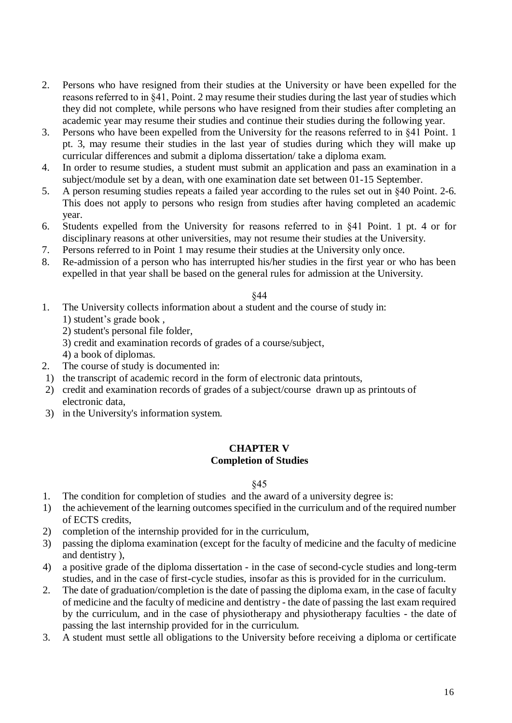- 2. Persons who have resigned from their studies at the University or have been expelled for the reasons referred to in §41, Point. 2 may resume their studies during the last year of studies which they did not complete, while persons who have resigned from their studies after completing an academic year may resume their studies and continue their studies during the following year.
- 3. Persons who have been expelled from the University for the reasons referred to in §41 Point. 1 pt. 3, may resume their studies in the last year of studies during which they will make up curricular differences and submit a diploma dissertation/ take a diploma exam.
- 4. In order to resume studies, a student must submit an application and pass an examination in a subject/module set by a dean, with one examination date set between 01-15 September.
- 5. A person resuming studies repeats a failed year according to the rules set out in §40 Point. 2-6. This does not apply to persons who resign from studies after having completed an academic year.
- 6. Students expelled from the University for reasons referred to in §41 Point. 1 pt. 4 or for disciplinary reasons at other universities, may not resume their studies at the University.
- 7. Persons referred to in Point 1 may resume their studies at the University only once.
- 8. Re-admission of a person who has interrupted his/her studies in the first year or who has been expelled in that year shall be based on the general rules for admission at the University.

- 1. The University collects information about a student and the course of study in: 1) student's grade book ,
	- 2) student's personal file folder,
	- 3) credit and examination records of grades of a course/subject,
	- 4) a book of diplomas.
- 2. The course of study is documented in:
- 1) the transcript of academic record in the form of electronic data printouts,
- 2) credit and examination records of grades of a subject/course drawn up as printouts of electronic data,
- 3) in the University's information system.

# **CHAPTER V**

# **Completion of Studies**

- 1. The condition for completion of studies and the award of a university degree is:
- 1) the achievement of the learning outcomes specified in the curriculum and of the required number of ECTS credits,
- 2) completion of the internship provided for in the curriculum,
- 3) passing the diploma examination (except for the faculty of medicine and the faculty of medicine and dentistry ),
- 4) a positive grade of the diploma dissertation in the case of second-cycle studies and long-term studies, and in the case of first-cycle studies, insofar as this is provided for in the curriculum.
- 2. The date of graduation/completion is the date of passing the diploma exam, in the case of faculty of medicine and the faculty of medicine and dentistry - the date of passing the last exam required by the curriculum, and in the case of physiotherapy and physiotherapy faculties - the date of passing the last internship provided for in the curriculum.
- 3. A student must settle all obligations to the University before receiving a diploma or certificate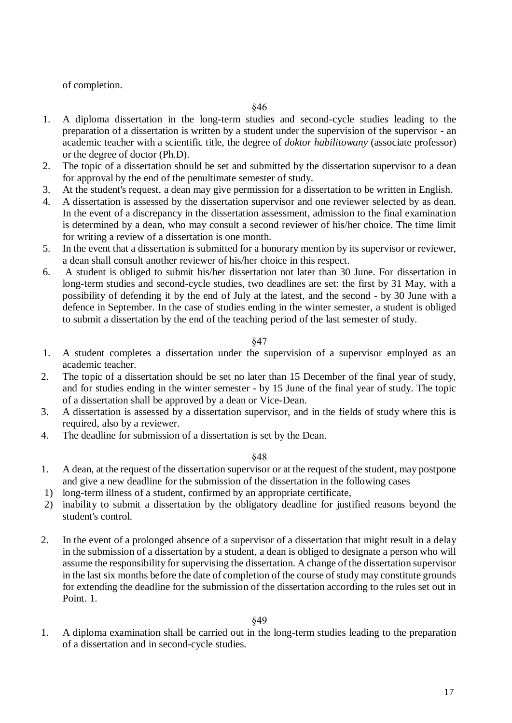of completion.

- 1. A diploma dissertation in the long-term studies and second-cycle studies leading to the preparation of a dissertation is written by a student under the supervision of the supervisor - an academic teacher with a scientific title, the degree of *doktor habilitowany* (associate professor) or the degree of doctor (Ph.D).
- 2. The topic of a dissertation should be set and submitted by the dissertation supervisor to a dean for approval by the end of the penultimate semester of study.
- 3. At the student's request, a dean may give permission for a dissertation to be written in English.
- 4. A dissertation is assessed by the dissertation supervisor and one reviewer selected by as dean. In the event of a discrepancy in the dissertation assessment, admission to the final examination is determined by a dean, who may consult a second reviewer of his/her choice. The time limit for writing a review of a dissertation is one month.
- 5. In the event that a dissertation is submitted for a honorary mention by its supervisor or reviewer, a dean shall consult another reviewer of his/her choice in this respect.
- 6. A student is obliged to submit his/her dissertation not later than 30 June. For dissertation in long-term studies and second-cycle studies, two deadlines are set: the first by 31 May, with a possibility of defending it by the end of July at the latest, and the second - by 30 June with a defence in September. In the case of studies ending in the winter semester, a student is obliged to submit a dissertation by the end of the teaching period of the last semester of study.

# §47

- 1. A student completes a dissertation under the supervision of a supervisor employed as an academic teacher.
- 2. The topic of a dissertation should be set no later than 15 December of the final year of study, and for studies ending in the winter semester - by 15 June of the final year of study. The topic of a dissertation shall be approved by a dean or Vice-Dean.
- 3. A dissertation is assessed by a dissertation supervisor, and in the fields of study where this is required, also by a reviewer.
- 4. The deadline for submission of a dissertation is set by the Dean.

§48

- 1. A dean, at the request of the dissertation supervisor or at the request of the student, may postpone and give a new deadline for the submission of the dissertation in the following cases
- 1) long-term illness of a student, confirmed by an appropriate certificate,
- 2) inability to submit a dissertation by the obligatory deadline for justified reasons beyond the student's control.
- 2. In the event of a prolonged absence of a supervisor of a dissertation that might result in a delay in the submission of a dissertation by a student, a dean is obliged to designate a person who will assume the responsibility for supervising the dissertation. A change of the dissertation supervisor in the last six months before the date of completion of the course of study may constitute grounds for extending the deadline for the submission of the dissertation according to the rules set out in Point. 1.

1. A diploma examination shall be carried out in the long-term studies leading to the preparation of a dissertation and in second-cycle studies.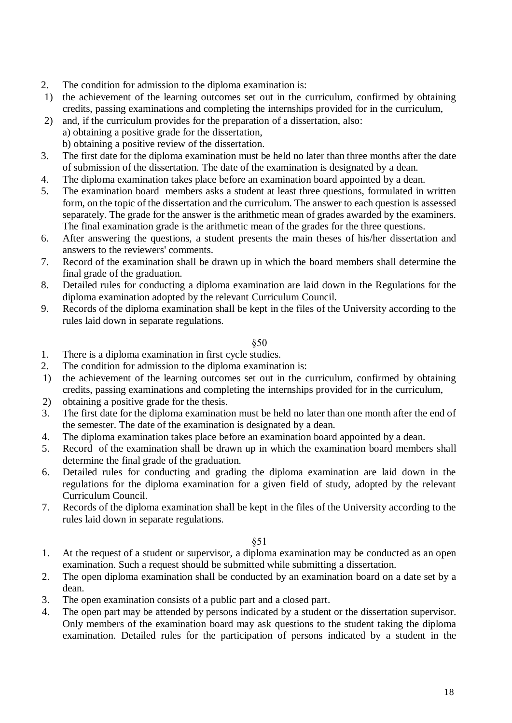- 2. The condition for admission to the diploma examination is:
- 1) the achievement of the learning outcomes set out in the curriculum, confirmed by obtaining credits, passing examinations and completing the internships provided for in the curriculum,
- 2) and, if the curriculum provides for the preparation of a dissertation, also: a) obtaining a positive grade for the dissertation,

b) obtaining a positive review of the dissertation.

- 3. The first date for the diploma examination must be held no later than three months after the date of submission of the dissertation. The date of the examination is designated by a dean.
- 4. The diploma examination takes place before an examination board appointed by a dean.
- 5. The examination board members asks a student at least three questions, formulated in written form, on the topic of the dissertation and the curriculum. The answer to each question is assessed separately. The grade for the answer is the arithmetic mean of grades awarded by the examiners. The final examination grade is the arithmetic mean of the grades for the three questions.
- 6. After answering the questions, a student presents the main theses of his/her dissertation and answers to the reviewers' comments.
- 7. Record of the examination shall be drawn up in which the board members shall determine the final grade of the graduation.
- 8. Detailed rules for conducting a diploma examination are laid down in the Regulations for the diploma examination adopted by the relevant Curriculum Council.
- 9. Records of the diploma examination shall be kept in the files of the University according to the rules laid down in separate regulations.

# §50

- 1. There is a diploma examination in first cycle studies.
- 2. The condition for admission to the diploma examination is:
- 1) the achievement of the learning outcomes set out in the curriculum, confirmed by obtaining credits, passing examinations and completing the internships provided for in the curriculum,
- 2) obtaining a positive grade for the thesis.
- 3. The first date for the diploma examination must be held no later than one month after the end of the semester. The date of the examination is designated by a dean.
- 4. The diploma examination takes place before an examination board appointed by a dean.
- 5. Record of the examination shall be drawn up in which the examination board members shall determine the final grade of the graduation.
- 6. Detailed rules for conducting and grading the diploma examination are laid down in the regulations for the diploma examination for a given field of study, adopted by the relevant Curriculum Council.
- 7. Records of the diploma examination shall be kept in the files of the University according to the rules laid down in separate regulations.

- 1. At the request of a student or supervisor, a diploma examination may be conducted as an open examination. Such a request should be submitted while submitting a dissertation.
- 2. The open diploma examination shall be conducted by an examination board on a date set by a dean.
- 3. The open examination consists of a public part and a closed part.
- 4. The open part may be attended by persons indicated by a student or the dissertation supervisor. Only members of the examination board may ask questions to the student taking the diploma examination. Detailed rules for the participation of persons indicated by a student in the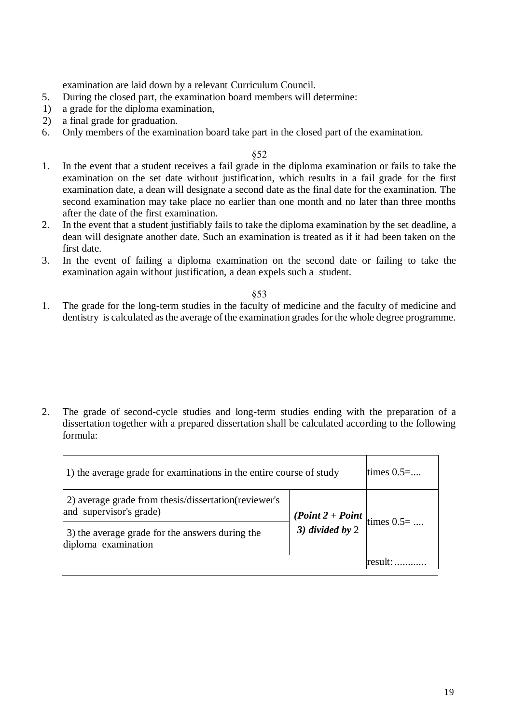examination are laid down by a relevant Curriculum Council.

- 5. During the closed part, the examination board members will determine:
- 1) a grade for the diploma examination,
- 2) a final grade for graduation.
- 6. Only members of the examination board take part in the closed part of the examination.

§52

- 1. In the event that a student receives a fail grade in the diploma examination or fails to take the examination on the set date without justification, which results in a fail grade for the first examination date, a dean will designate a second date as the final date for the examination. The second examination may take place no earlier than one month and no later than three months after the date of the first examination.
- 2. In the event that a student justifiably fails to take the diploma examination by the set deadline, a dean will designate another date. Such an examination is treated as if it had been taken on the first date.
- 3. In the event of failing a diploma examination on the second date or failing to take the examination again without justification, a dean expels such a student.

§53

1. The grade for the long-term studies in the faculty of medicine and the faculty of medicine and dentistry is calculated as the average of the examination grades for the whole degree programme.

2. The grade of second-cycle studies and long-term studies ending with the preparation of a dissertation together with a prepared dissertation shall be calculated according to the following formula:

| 1) the average grade for examinations in the entire course of study             |                                                                | times $0.5$ = |
|---------------------------------------------------------------------------------|----------------------------------------------------------------|---------------|
| 2) average grade from thesis/dissertation(reviewer's<br>and supervisor's grade) |                                                                |               |
| 3) the average grade for the answers during the<br>diploma examination          | ( <i>Point</i> $2 + Point$   times $0.5 = $<br>3) divided by 2 |               |
|                                                                                 |                                                                | 'result       |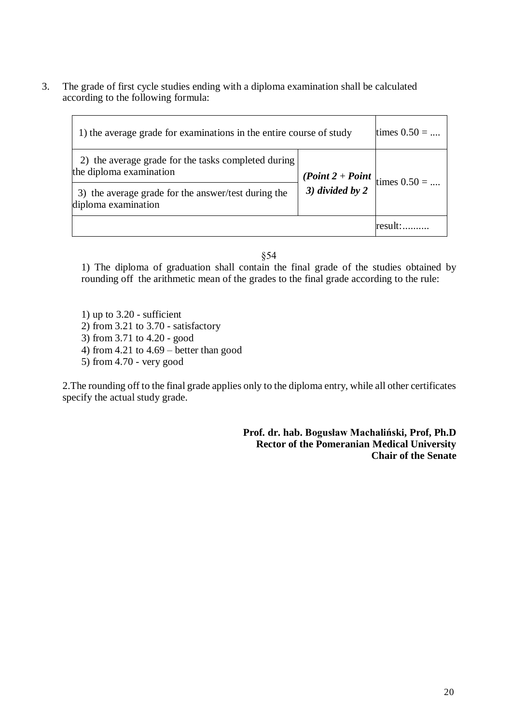3. The grade of first cycle studies ending with a diploma examination shall be calculated according to the following formula:

| 1) the average grade for examinations in the entire course of study            |                                                                        | times $0.50 = $ |
|--------------------------------------------------------------------------------|------------------------------------------------------------------------|-----------------|
| 2) the average grade for the tasks completed during<br>the diploma examination |                                                                        |                 |
| 3) the average grade for the answer/test during the<br>diploma examination     | ( <i>Point</i> $2 + Point$   times $0.50 = $<br>3) <i>divided by</i> 2 |                 |
|                                                                                |                                                                        |                 |

§54

1) The diploma of graduation shall contain the final grade of the studies obtained by rounding off the arithmetic mean of the grades to the final grade according to the rule:

- 1) up to 3.20 sufficient
- 2) from 3.21 to 3.70 satisfactory
- 3) from 3.71 to 4.20 good
- 4) from 4.21 to 4.69 better than good
- 5) from 4.70 very good

2.The rounding off to the final grade applies only to the diploma entry, while all other certificates specify the actual study grade.

> **Prof. dr. hab. Bogusław Machaliński, Prof, Ph.D Rector of the Pomeranian Medical University Chair of the Senate**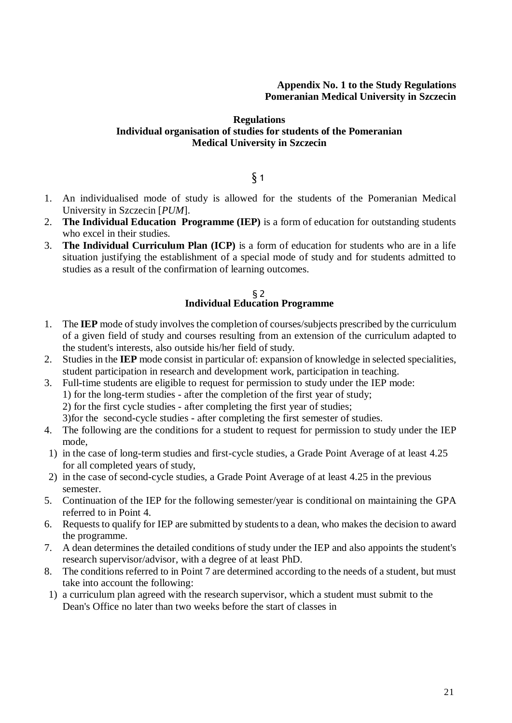# **Appendix No. 1 to the Study Regulations Pomeranian Medical University in Szczecin**

### **Regulations Individual organisation of studies for students of the Pomeranian Medical University in Szczecin**

# $\delta$  1

- 1. An individualised mode of study is allowed for the students of the Pomeranian Medical University in Szczecin [*PUM*].
- 2. **The Individual Education Programme (IEP)** is a form of education for outstanding students who excel in their studies.
- 3. **The Individual Curriculum Plan (ICP)** is a form of education for students who are in a life situation justifying the establishment of a special mode of study and for students admitted to studies as a result of the confirmation of learning outcomes.

### §2 **Individual Education Programme**

- 1. The **IEP** mode of study involves the completion of courses/subjects prescribed by the curriculum of a given field of study and courses resulting from an extension of the curriculum adapted to the student's interests, also outside his/her field of study.
- 2. Studies in the **IEP** mode consist in particular of: expansion of knowledge in selected specialities, student participation in research and development work, participation in teaching.
- 3. Full-time students are eligible to request for permission to study under the IEP mode: 1) for the long-term studies - after the completion of the first year of study; 2) for the first cycle studies - after completing the first year of studies; 3)for the second-cycle studies - after completing the first semester of studies.
- 4. The following are the conditions for a student to request for permission to study under the IEP mode,
- 1) in the case of long-term studies and first-cycle studies, a Grade Point Average of at least 4.25 for all completed years of study,
- 2) in the case of second-cycle studies, a Grade Point Average of at least 4.25 in the previous semester.
- 5. Continuation of the IEP for the following semester/year is conditional on maintaining the GPA referred to in Point 4.
- 6. Requests to qualify for IEP are submitted by students to a dean, who makes the decision to award the programme.
- 7. A dean determines the detailed conditions of study under the IEP and also appoints the student's research supervisor/advisor, with a degree of at least PhD.
- 8. The conditions referred to in Point 7 are determined according to the needs of a student, but must take into account the following:
- 1) a curriculum plan agreed with the research supervisor, which a student must submit to the Dean's Office no later than two weeks before the start of classes in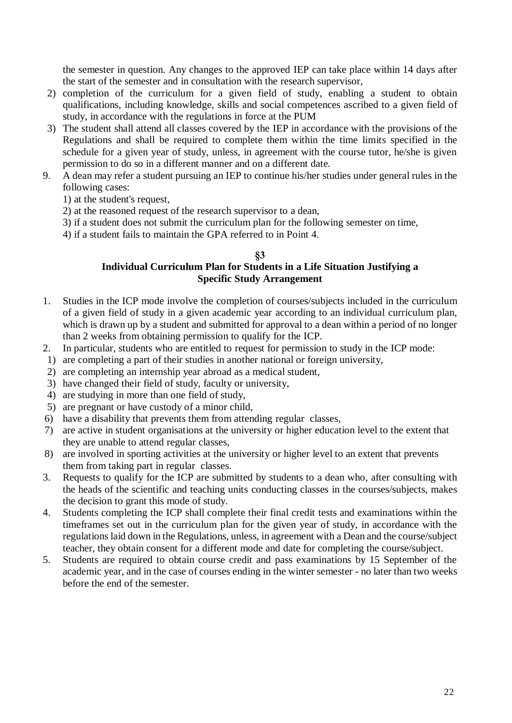the semester in question. Any changes to the approved IEP can take place within 14 days after the start of the semester and in consultation with the research supervisor,

- 2) completion of the curriculum for a given field of study, enabling a student to obtain qualifications, including knowledge, skills and social competences ascribed to a given field of study, in accordance with the regulations in force at the PUM
- 3) The student shall attend all classes covered by the IEP in accordance with the provisions of the Regulations and shall be required to complete them within the time limits specified in the schedule for a given year of study, unless, in agreement with the course tutor, he/she is given permission to do so in a different manner and on a different date.
- 9. A dean may refer a student pursuing an IEP to continue his/her studies under general rules in the following cases:
	- 1) at the student's request,
	- 2) at the reasoned request of the research supervisor to a dean,
	- 3) if a student does not submit the curriculum plan for the following semester on time,
	- 4) if a student fails to maintain the GPA referred to in Point 4.

# **§3**

# **Individual Curriculum Plan for Students in a Life Situation Justifying a Specific Study Arrangement**

- 1. Studies in the ICP mode involve the completion of courses/subjects included in the curriculum of a given field of study in a given academic year according to an individual curriculum plan, which is drawn up by a student and submitted for approval to a dean within a period of no longer than 2 weeks from obtaining permission to qualify for the ICP.
- 2. In particular, students who are entitled to request for permission to study in the ICP mode:
- 1) are completing a part of their studies in another national or foreign university,
- 2) are completing an internship year abroad as a medical student,
- 3) have changed their field of study, faculty or university,
- 4) are studying in more than one field of study,
- 5) are pregnant or have custody of a minor child,
- 6) have a disability that prevents them from attending regular classes,
- 7) are active in student organisations at the university or higher education level to the extent that they are unable to attend regular classes,
- 8) are involved in sporting activities at the university or higher level to an extent that prevents them from taking part in regular classes.
- 3. Requests to qualify for the ICP are submitted by students to a dean who, after consulting with the heads of the scientific and teaching units conducting classes in the courses/subjects, makes the decision to grant this mode of study.
- 4. Students completing the ICP shall complete their final credit tests and examinations within the timeframes set out in the curriculum plan for the given year of study, in accordance with the regulations laid down in the Regulations, unless, in agreement with a Dean and the course/subject teacher, they obtain consent for a different mode and date for completing the course/subject.
- 5. Students are required to obtain course credit and pass examinations by 15 September of the academic year, and in the case of courses ending in the winter semester - no later than two weeks before the end of the semester.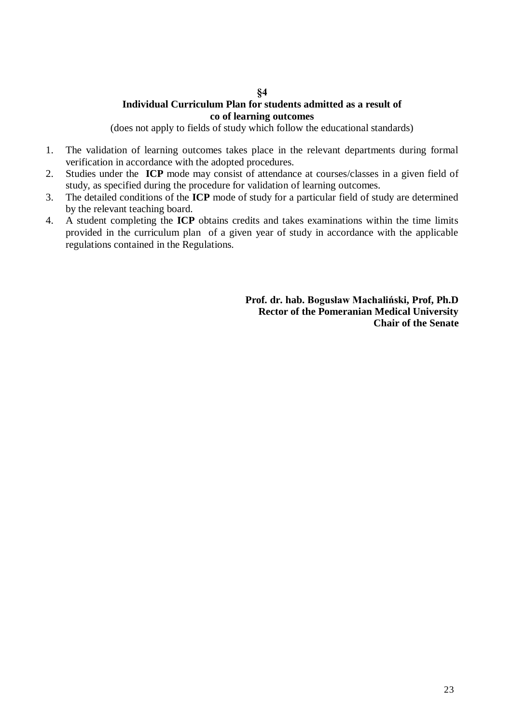# **Individual Curriculum Plan for students admitted as a result of co of learning outcomes**

(does not apply to fields of study which follow the educational standards)

- 1. The validation of learning outcomes takes place in the relevant departments during formal verification in accordance with the adopted procedures.
- 2. Studies under the **ICP** mode may consist of attendance at courses/classes in a given field of study, as specified during the procedure for validation of learning outcomes.
- 3. The detailed conditions of the **ICP** mode of study for a particular field of study are determined by the relevant teaching board.
- 4. A student completing the **ICP** obtains credits and takes examinations within the time limits provided in the curriculum plan of a given year of study in accordance with the applicable regulations contained in the Regulations.

**Prof. dr. hab. Bogusław Machaliński, Prof, Ph.D Rector of the Pomeranian Medical University Chair of the Senate**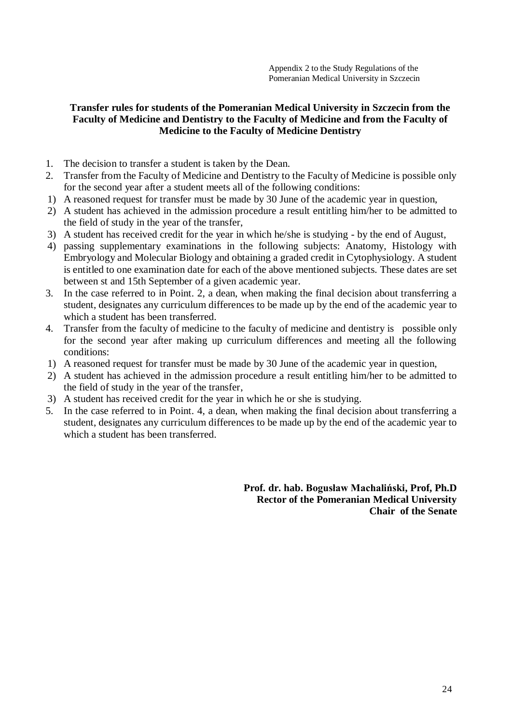# **Transfer rules for students of the Pomeranian Medical University in Szczecin from the Faculty of Medicine and Dentistry to the Faculty of Medicine and from the Faculty of Medicine to the Faculty of Medicine Dentistry**

- 1. The decision to transfer a student is taken by the Dean.
- 2. Transfer from the Faculty of Medicine and Dentistry to the Faculty of Medicine is possible only for the second year after a student meets all of the following conditions:
- 1) A reasoned request for transfer must be made by 30 June of the academic year in question,
- 2) A student has achieved in the admission procedure a result entitling him/her to be admitted to the field of study in the year of the transfer,
- 3) A student has received credit for the year in which he/she is studying by the end of August,
- 4) passing supplementary examinations in the following subjects: Anatomy, Histology with Embryology and Molecular Biology and obtaining a graded credit in Cytophysiology. A student is entitled to one examination date for each of the above mentioned subjects. These dates are set between st and 15th September of a given academic year.
- 3. In the case referred to in Point. 2, a dean, when making the final decision about transferring a student, designates any curriculum differences to be made up by the end of the academic year to which a student has been transferred.
- 4. Transfer from the faculty of medicine to the faculty of medicine and dentistry is possible only for the second year after making up curriculum differences and meeting all the following conditions:
- 1) A reasoned request for transfer must be made by 30 June of the academic year in question,
- 2) A student has achieved in the admission procedure a result entitling him/her to be admitted to the field of study in the year of the transfer,
- 3) A student has received credit for the year in which he or she is studying.
- 5. In the case referred to in Point. 4, a dean, when making the final decision about transferring a student, designates any curriculum differences to be made up by the end of the academic year to which a student has been transferred.

**Prof. dr. hab. Bogusław Machaliński, Prof, Ph.D Rector of the Pomeranian Medical University Chair of the Senate**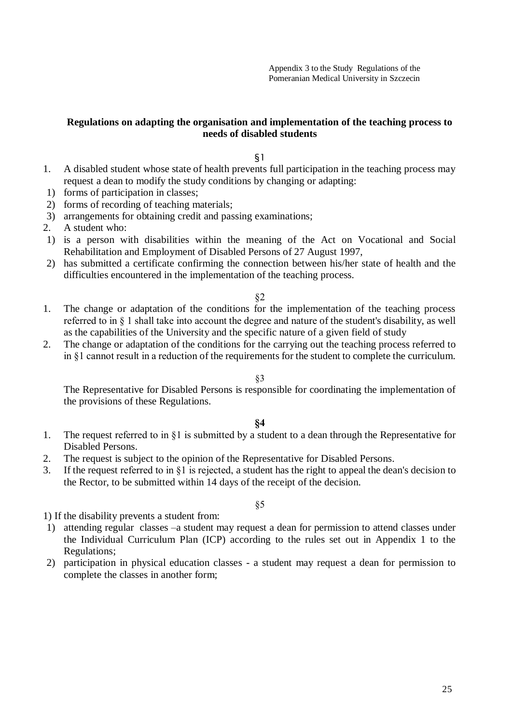# **Regulations on adapting the organisation and implementation of the teaching process to needs of disabled students**

§1

- 1. A disabled student whose state of health prevents full participation in the teaching process may request a dean to modify the study conditions by changing or adapting:
- 1) forms of participation in classes;
- 2) forms of recording of teaching materials;
- 3) arrangements for obtaining credit and passing examinations;
- 2. A student who:
- 1) is a person with disabilities within the meaning of the Act on Vocational and Social Rehabilitation and Employment of Disabled Persons of 27 August 1997,
- 2) has submitted a certificate confirming the connection between his/her state of health and the difficulties encountered in the implementation of the teaching process.

### §2

- 1. The change or adaptation of the conditions for the implementation of the teaching process referred to in § 1 shall take into account the degree and nature of the student's disability, as well as the capabilities of the University and the specific nature of a given field of study
- 2. The change or adaptation of the conditions for the carrying out the teaching process referred to in §1 cannot result in a reduction of the requirements for the student to complete the curriculum.

### §3

The Representative for Disabled Persons is responsible for coordinating the implementation of the provisions of these Regulations.

### **§4**

- 1. The request referred to in §1 is submitted by a student to a dean through the Representative for Disabled Persons.
- 2. The request is subject to the opinion of the Representative for Disabled Persons.
- 3. If the request referred to in §1 is rejected, a student has the right to appeal the dean's decision to the Rector, to be submitted within 14 days of the receipt of the decision.

### §5

1) If the disability prevents a student from:

- 1) attending regular classes –a student may request a dean for permission to attend classes under the Individual Curriculum Plan (ICP) according to the rules set out in Appendix 1 to the Regulations;
- 2) participation in physical education classes a student may request a dean for permission to complete the classes in another form;